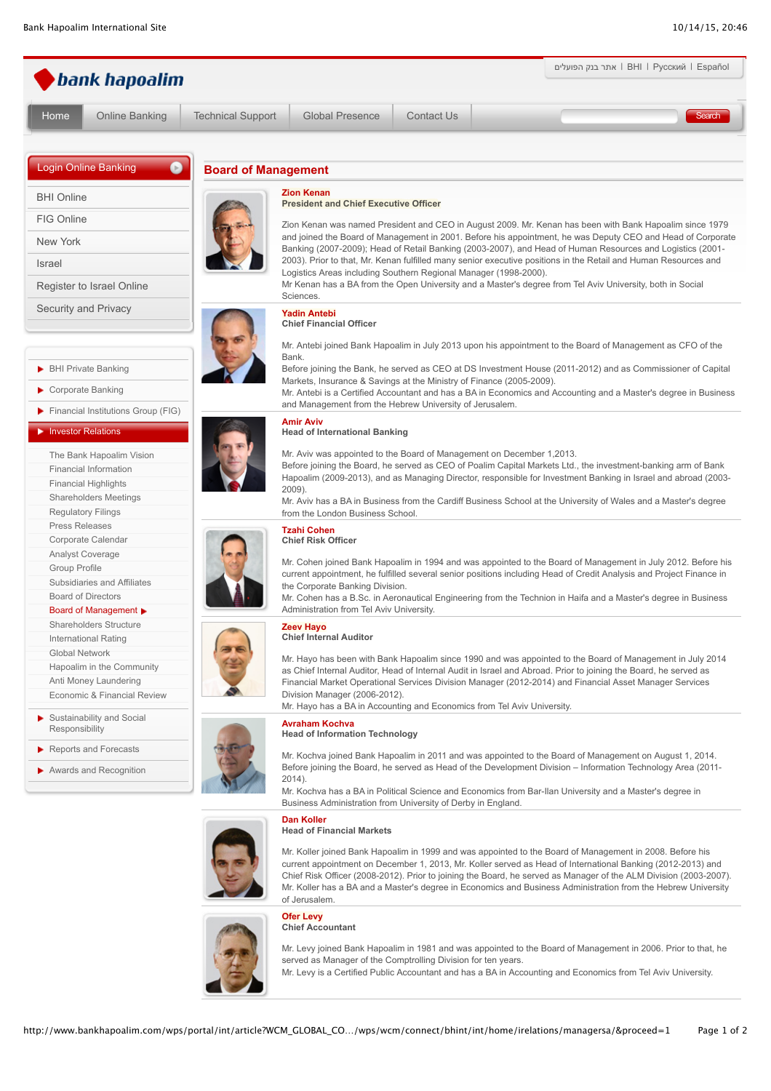| bank hapoalim                                        |                            |                                                                                                                                                                                                                                    |                   |  | ВНІ   Русский   Español   אתר בנק הפועלים |        |  |
|------------------------------------------------------|----------------------------|------------------------------------------------------------------------------------------------------------------------------------------------------------------------------------------------------------------------------------|-------------------|--|-------------------------------------------|--------|--|
| <b>Online Banking</b><br>Home                        | <b>Technical Support</b>   | <b>Global Presence</b>                                                                                                                                                                                                             | <b>Contact Us</b> |  |                                           | Search |  |
|                                                      |                            |                                                                                                                                                                                                                                    |                   |  |                                           |        |  |
| Login Online Banking                                 | <b>Board of Management</b> |                                                                                                                                                                                                                                    |                   |  |                                           |        |  |
| <b>BHI Online</b>                                    |                            | <b>Zion Kenan</b><br><b>President and Chief Executive Officer</b>                                                                                                                                                                  |                   |  |                                           |        |  |
| FIG Online                                           |                            | Zion Kenan was named President and CEO in August 2009. Mr. Kenan has been with Bank Hapoalim since 1979                                                                                                                            |                   |  |                                           |        |  |
| New York                                             |                            | and joined the Board of Management in 2001. Before his appointment, he was Deputy CEO and Head of Corporate                                                                                                                        |                   |  |                                           |        |  |
| <b>Israel</b>                                        |                            | Banking (2007-2009); Head of Retail Banking (2003-2007), and Head of Human Resources and Logistics (2001-<br>2003). Prior to that, Mr. Kenan fulfilled many senior executive positions in the Retail and Human Resources and       |                   |  |                                           |        |  |
|                                                      |                            | Logistics Areas including Southern Regional Manager (1998-2000).                                                                                                                                                                   |                   |  |                                           |        |  |
| Register to Israel Online                            |                            | Mr Kenan has a BA from the Open University and a Master's degree from Tel Aviv University, both in Social<br>Sciences.                                                                                                             |                   |  |                                           |        |  |
| Security and Privacy                                 |                            | <b>Yadin Antebi</b><br><b>Chief Financial Officer</b>                                                                                                                                                                              |                   |  |                                           |        |  |
|                                                      |                            |                                                                                                                                                                                                                                    |                   |  |                                           |        |  |
|                                                      |                            | Mr. Antebi joined Bank Hapoalim in July 2013 upon his appointment to the Board of Management as CFO of the<br>Bank.                                                                                                                |                   |  |                                           |        |  |
| BHI Private Banking                                  |                            | Before joining the Bank, he served as CEO at DS Investment House (2011-2012) and as Commissioner of Capital                                                                                                                        |                   |  |                                           |        |  |
| Corporate Banking                                    |                            | Markets, Insurance & Savings at the Ministry of Finance (2005-2009).<br>Mr. Antebi is a Certified Accountant and has a BA in Economics and Accounting and a Master's degree in Business                                            |                   |  |                                           |        |  |
| Financial Institutions Group (FIG)                   |                            | and Management from the Hebrew University of Jerusalem.                                                                                                                                                                            |                   |  |                                           |        |  |
| Investor Relations                                   |                            | <b>Amir Aviv</b><br><b>Head of International Banking</b>                                                                                                                                                                           |                   |  |                                           |        |  |
| The Bank Hapoalim Vision                             |                            | Mr. Aviv was appointed to the Board of Management on December 1,2013.                                                                                                                                                              |                   |  |                                           |        |  |
| Financial Information                                |                            | Before joining the Board, he served as CEO of Poalim Capital Markets Ltd., the investment-banking arm of Bank                                                                                                                      |                   |  |                                           |        |  |
| <b>Financial Highlights</b>                          |                            | Hapoalim (2009-2013), and as Managing Director, responsible for Investment Banking in Israel and abroad (2003-<br>2009).                                                                                                           |                   |  |                                           |        |  |
| <b>Shareholders Meetings</b>                         |                            | Mr. Aviv has a BA in Business from the Cardiff Business School at the University of Wales and a Master's degree                                                                                                                    |                   |  |                                           |        |  |
| <b>Regulatory Filings</b><br><b>Press Releases</b>   |                            | from the London Business School.<br><b>Tzahi Cohen</b>                                                                                                                                                                             |                   |  |                                           |        |  |
| Corporate Calendar                                   |                            | <b>Chief Risk Officer</b>                                                                                                                                                                                                          |                   |  |                                           |        |  |
| Analyst Coverage                                     |                            | Mr. Cohen joined Bank Hapoalim in 1994 and was appointed to the Board of Management in July 2012. Before his                                                                                                                       |                   |  |                                           |        |  |
| Group Profile<br>Subsidiaries and Affiliates         |                            | current appointment, he fulfilled several senior positions including Head of Credit Analysis and Project Finance in<br>the Corporate Banking Division.                                                                             |                   |  |                                           |        |  |
| <b>Board of Directors</b>                            |                            | Mr. Cohen has a B.Sc. in Aeronautical Engineering from the Technion in Haifa and a Master's degree in Business                                                                                                                     |                   |  |                                           |        |  |
| Board of Management ▶                                |                            | Administration from Tel Aviv University.                                                                                                                                                                                           |                   |  |                                           |        |  |
| Shareholders Structure<br>International Rating       |                            | Zeev Hayo<br><b>Chief Internal Auditor</b>                                                                                                                                                                                         |                   |  |                                           |        |  |
| <b>Global Network</b>                                |                            | Mr. Hayo has been with Bank Hapoalim since 1990 and was appointed to the Board of Management in July 2014                                                                                                                          |                   |  |                                           |        |  |
| Hapoalim in the Community                            |                            | as Chief Internal Auditor, Head of Internal Audit in Israel and Abroad. Prior to joining the Board, he served as                                                                                                                   |                   |  |                                           |        |  |
| Anti Money Laundering<br>Economic & Financial Review |                            | Financial Market Operational Services Division Manager (2012-2014) and Financial Asset Manager Services<br>Division Manager (2006-2012).                                                                                           |                   |  |                                           |        |  |
| Sustainability and Social                            |                            | Mr. Hayo has a BA in Accounting and Economics from Tel Aviv University.                                                                                                                                                            |                   |  |                                           |        |  |
| Responsibility                                       |                            | <b>Avraham Kochva</b><br><b>Head of Information Technology</b>                                                                                                                                                                     |                   |  |                                           |        |  |
| $\blacktriangleright$ Reports and Forecasts          |                            | Mr. Kochva joined Bank Hapoalim in 2011 and was appointed to the Board of Management on August 1, 2014.                                                                                                                            |                   |  |                                           |        |  |
| $\blacktriangleright$ Awards and Recognition         |                            | Before joining the Board, he served as Head of the Development Division – Information Technology Area (2011-                                                                                                                       |                   |  |                                           |        |  |
|                                                      |                            | 2014).<br>Mr. Kochva has a BA in Political Science and Economics from Bar-Ilan University and a Master's degree in                                                                                                                 |                   |  |                                           |        |  |
|                                                      |                            | Business Administration from University of Derby in England.                                                                                                                                                                       |                   |  |                                           |        |  |
|                                                      |                            | <b>Dan Koller</b><br><b>Head of Financial Markets</b>                                                                                                                                                                              |                   |  |                                           |        |  |
|                                                      |                            | Mr. Koller joined Bank Hapoalim in 1999 and was appointed to the Board of Management in 2008. Before his                                                                                                                           |                   |  |                                           |        |  |
|                                                      |                            | current appointment on December 1, 2013, Mr. Koller served as Head of International Banking (2012-2013) and                                                                                                                        |                   |  |                                           |        |  |
|                                                      |                            | Chief Risk Officer (2008-2012). Prior to joining the Board, he served as Manager of the ALM Division (2003-2007).<br>Mr. Koller has a BA and a Master's degree in Economics and Business Administration from the Hebrew University |                   |  |                                           |        |  |
|                                                      |                            | of Jerusalem.                                                                                                                                                                                                                      |                   |  |                                           |        |  |
|                                                      |                            | Ofer Levy<br><b>Chief Accountant</b>                                                                                                                                                                                               |                   |  |                                           |        |  |
|                                                      |                            | Mr. Levy joined Bank Hapoalim in 1981 and was appointed to the Board of Management in 2006. Prior to that, he                                                                                                                      |                   |  |                                           |        |  |
|                                                      |                            |                                                                                                                                                                                                                                    |                   |  |                                           |        |  |